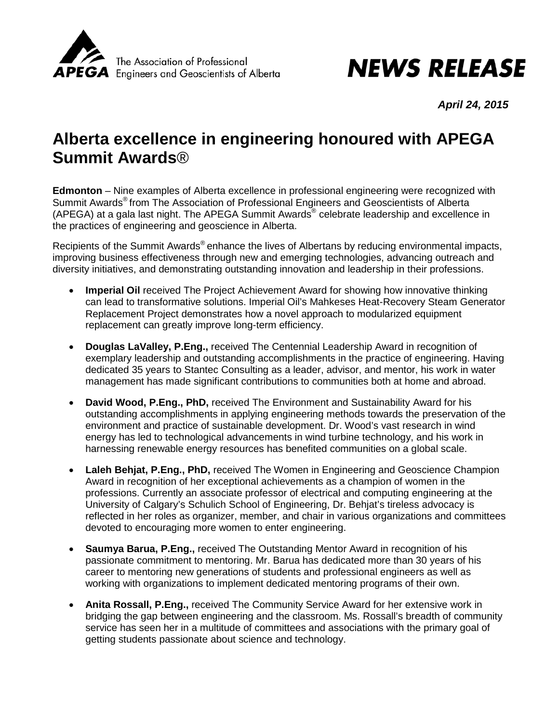

## **NEWS RELEASE**

*April 24, 2015*

## **Alberta excellence in engineering honoured with APEGA Summit Awards**®

**Edmonton** – Nine examples of Alberta excellence in professional engineering were recognized with Summit Awards® from The Association of Professional Engineers and Geoscientists of Alberta (APEGA) at a gala last night. The APEGA Summit Awards<sup>®</sup> celebrate leadership and excellence in the practices of engineering and geoscience in Alberta.

Recipients of the Summit Awards<sup>®</sup> enhance the lives of Albertans by reducing environmental impacts, improving business effectiveness through new and emerging technologies, advancing outreach and diversity initiatives, and demonstrating outstanding innovation and leadership in their professions.

- **Imperial Oil** received The Project Achievement Award for showing how innovative thinking can lead to transformative solutions. Imperial Oil's Mahkeses Heat-Recovery Steam Generator Replacement Project demonstrates how a novel approach to modularized equipment replacement can greatly improve long-term efficiency.
- **Douglas LaValley, P.Eng.,** received The Centennial Leadership Award in recognition of exemplary leadership and outstanding accomplishments in the practice of engineering. Having dedicated 35 years to Stantec Consulting as a leader, advisor, and mentor, his work in water management has made significant contributions to communities both at home and abroad.
- **David Wood, P.Eng., PhD,** received The Environment and Sustainability Award for his outstanding accomplishments in applying engineering methods towards the preservation of the environment and practice of sustainable development. Dr. Wood's vast research in wind energy has led to technological advancements in wind turbine technology, and his work in harnessing renewable energy resources has benefited communities on a global scale.
- **Laleh Behjat, P.Eng., PhD,** received The Women in Engineering and Geoscience Champion Award in recognition of her exceptional achievements as a champion of women in the professions. Currently an associate professor of electrical and computing engineering at the University of Calgary's Schulich School of Engineering, Dr. Behjat's tireless advocacy is reflected in her roles as organizer, member, and chair in various organizations and committees devoted to encouraging more women to enter engineering.
- **Saumya Barua, P.Eng.,** received The Outstanding Mentor Award in recognition of his passionate commitment to mentoring. Mr. Barua has dedicated more than 30 years of his career to mentoring new generations of students and professional engineers as well as working with organizations to implement dedicated mentoring programs of their own.
- **Anita Rossall, P.Eng.,** received The Community Service Award for her extensive work in bridging the gap between engineering and the classroom. Ms. Rossall's breadth of community service has seen her in a multitude of committees and associations with the primary goal of getting students passionate about science and technology.